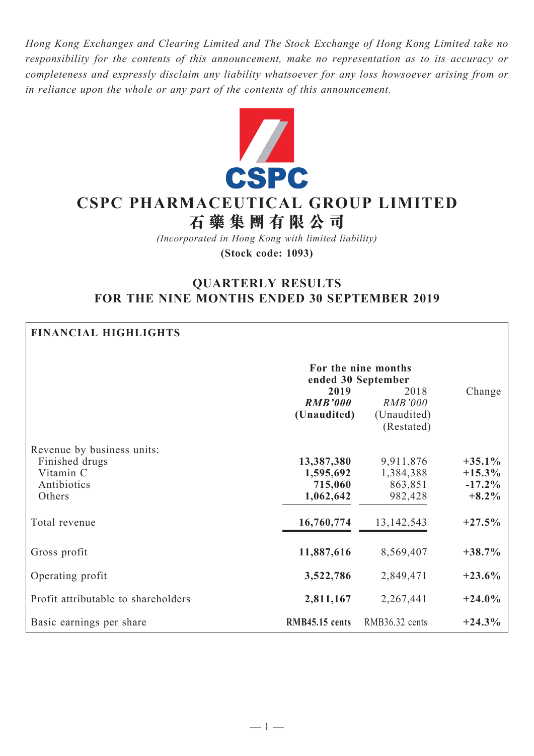*Hong Kong Exchanges and Clearing Limited and The Stock Exchange of Hong Kong Limited take no responsibility for the contents of this announcement, make no representation as to its accuracy or completeness and expressly disclaim any liability whatsoever for any loss howsoever arising from or in reliance upon the whole or any part of the contents of this announcement.*



# **CSPC Pharmaceutical Group Limited 石 藥 集 團 有 限 公 司**

*(Incorporated in Hong Kong with limited liability)* **(Stock code: 1093)**

# **QUARTERLY RESULTS FOR THE NINE MONTHS ENDED 30 SEPTEMBER 2019**

| <b>FINANCIAL HIGHLIGHTS</b>                                                        |                                                 |                                                     |                                                |
|------------------------------------------------------------------------------------|-------------------------------------------------|-----------------------------------------------------|------------------------------------------------|
|                                                                                    | For the nine months<br>ended 30 September       |                                                     |                                                |
|                                                                                    | 2019<br><b>RMB'000</b><br>(Unaudited)           | 2018<br><b>RMB'000</b><br>(Unaudited)<br>(Restated) | Change                                         |
| Revenue by business units:<br>Finished drugs<br>Vitamin C<br>Antibiotics<br>Others | 13,387,380<br>1,595,692<br>715,060<br>1,062,642 | 9,911,876<br>1,384,388<br>863,851<br>982,428        | $+35.1\%$<br>$+15.3\%$<br>$-17.2%$<br>$+8.2\%$ |
| Total revenue                                                                      | 16,760,774                                      | 13, 142, 543                                        | $+27.5%$                                       |
| Gross profit                                                                       | 11,887,616                                      | 8,569,407                                           | $+38.7%$                                       |
| Operating profit                                                                   | 3,522,786                                       | 2,849,471                                           | $+23.6%$                                       |
| Profit attributable to shareholders                                                | 2,811,167                                       | 2,267,441                                           | $+24.0\%$                                      |
| Basic earnings per share                                                           | RMB45.15 cents                                  | RMB36.32 cents                                      | $+24.3%$                                       |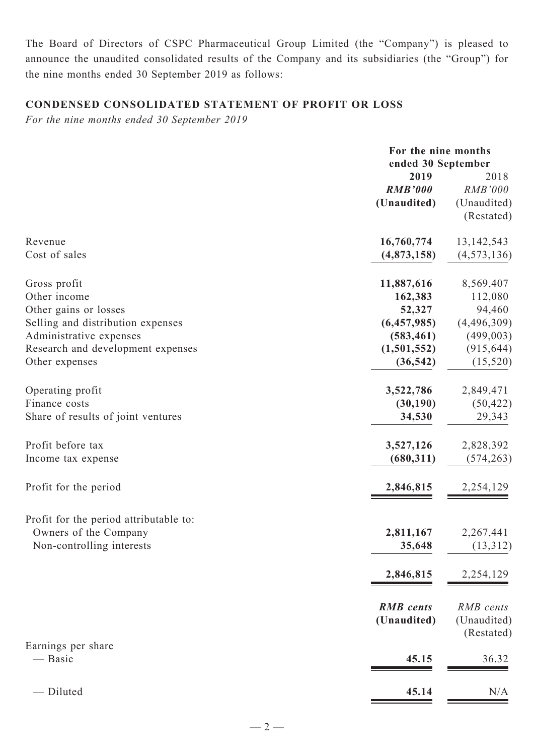The Board of Directors of CSPC Pharmaceutical Group Limited (the "Company") is pleased to announce the unaudited consolidated results of the Company and its subsidiaries (the "Group") for the nine months ended 30 September 2019 as follows:

# **CONDENSED CONSOLIDATED Statement of profit or loss**

*For the nine months ended 30 September 2019*

|                                                                                                   | For the nine months<br>ended 30 September |                                        |
|---------------------------------------------------------------------------------------------------|-------------------------------------------|----------------------------------------|
|                                                                                                   | 2019<br><b>RMB'000</b>                    | 2018<br><b>RMB'000</b>                 |
|                                                                                                   | (Unaudited)                               | (Unaudited)<br>(Restated)              |
| Revenue<br>Cost of sales                                                                          | 16,760,774<br>(4,873,158)                 | 13, 142, 543<br>(4, 573, 136)          |
| Gross profit<br>Other income<br>Other gains or losses                                             | 11,887,616<br>162,383<br>52,327           | 8,569,407<br>112,080<br>94,460         |
| Selling and distribution expenses<br>Administrative expenses<br>Research and development expenses | (6,457,985)<br>(583, 461)<br>(1,501,552)  | (4,496,309)<br>(499,003)<br>(915, 644) |
| Other expenses                                                                                    | (36, 542)                                 | (15,520)                               |
| Operating profit<br>Finance costs<br>Share of results of joint ventures                           | 3,522,786<br>(30, 190)<br>34,530          | 2,849,471<br>(50, 422)<br>29,343       |
| Profit before tax<br>Income tax expense                                                           | 3,527,126<br>(680, 311)                   | 2,828,392<br>(574, 263)                |
| Profit for the period                                                                             | 2,846,815                                 | 2,254,129                              |
| Profit for the period attributable to:<br>Owners of the Company<br>Non-controlling interests      | 2,811,167<br>35,648                       | 2,267,441<br>(13,312)                  |
|                                                                                                   | 2,846,815                                 | 2,254,129                              |
|                                                                                                   | <b>RMB</b> cents<br>(Unaudited)           | RMB cents<br>(Unaudited)<br>(Restated) |
| Earnings per share<br>— Basic                                                                     | 45.15                                     | 36.32                                  |
| - Diluted                                                                                         | 45.14                                     | N/A                                    |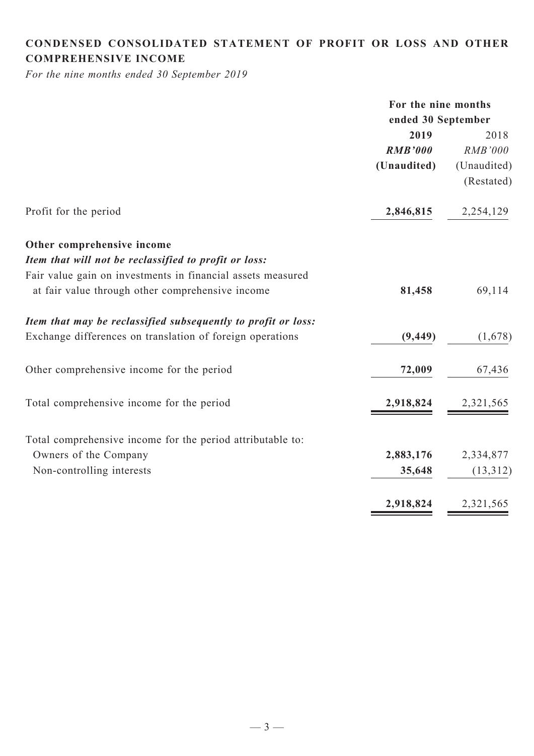# **CONDENSED CONSOLIDATED statement of Profit or Loss and Other comprehensive income**

*For the nine months ended 30 September 2019*

|                                                               | For the nine months |                |  |
|---------------------------------------------------------------|---------------------|----------------|--|
|                                                               | ended 30 September  |                |  |
|                                                               | 2019                | 2018           |  |
|                                                               | <b>RMB'000</b>      | <b>RMB'000</b> |  |
|                                                               | (Unaudited)         | (Unaudited)    |  |
|                                                               |                     | (Restated)     |  |
| Profit for the period                                         | 2,846,815           | 2,254,129      |  |
| Other comprehensive income                                    |                     |                |  |
| Item that will not be reclassified to profit or loss:         |                     |                |  |
| Fair value gain on investments in financial assets measured   |                     |                |  |
| at fair value through other comprehensive income              | 81,458              | 69,114         |  |
| Item that may be reclassified subsequently to profit or loss: |                     |                |  |
| Exchange differences on translation of foreign operations     | (9, 449)            | (1,678)        |  |
| Other comprehensive income for the period                     | 72,009              | 67,436         |  |
| Total comprehensive income for the period                     | 2,918,824           | 2,321,565      |  |
| Total comprehensive income for the period attributable to:    |                     |                |  |
| Owners of the Company                                         | 2,883,176           | 2,334,877      |  |
| Non-controlling interests                                     | 35,648              | (13,312)       |  |
|                                                               | 2,918,824           | 2,321,565      |  |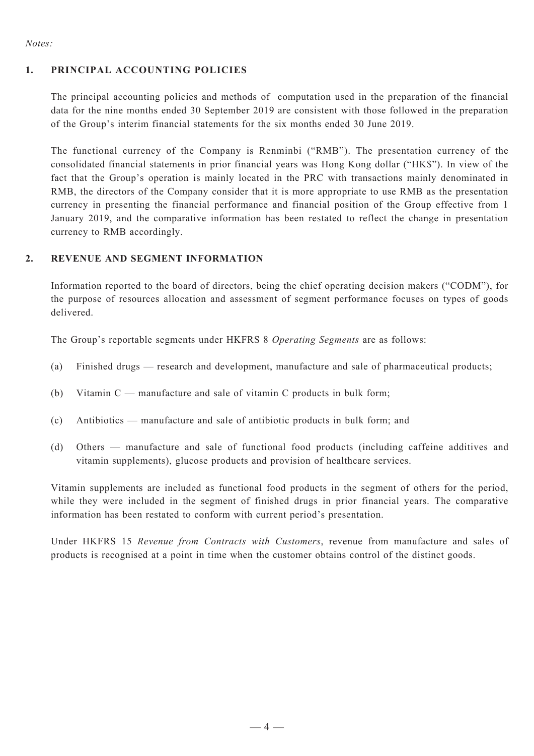#### *Notes:*

#### **1. Principal Accounting Policies**

The principal accounting policies and methods of computation used in the preparation of the financial data for the nine months ended 30 September 2019 are consistent with those followed in the preparation of the Group's interim financial statements for the six months ended 30 June 2019.

The functional currency of the Company is Renminbi ("RMB"). The presentation currency of the consolidated financial statements in prior financial years was Hong Kong dollar ("HK\$"). In view of the fact that the Group's operation is mainly located in the PRC with transactions mainly denominated in RMB, the directors of the Company consider that it is more appropriate to use RMB as the presentation currency in presenting the financial performance and financial position of the Group effective from 1 January 2019, and the comparative information has been restated to reflect the change in presentation currency to RMB accordingly.

#### **2. REVENUE AND SEGMENT INFORMATION**

Information reported to the board of directors, being the chief operating decision makers ("CODM"), for the purpose of resources allocation and assessment of segment performance focuses on types of goods delivered.

The Group's reportable segments under HKFRS 8 *Operating Segments* are as follows:

- (a) Finished drugs research and development, manufacture and sale of pharmaceutical products;
- (b) Vitamin C manufacture and sale of vitamin C products in bulk form;
- (c) Antibiotics manufacture and sale of antibiotic products in bulk form; and
- (d) Others manufacture and sale of functional food products (including caffeine additives and vitamin supplements), glucose products and provision of healthcare services.

Vitamin supplements are included as functional food products in the segment of others for the period, while they were included in the segment of finished drugs in prior financial years. The comparative information has been restated to conform with current period's presentation.

Under HKFRS 15 *Revenue from Contracts with Customers*, revenue from manufacture and sales of products is recognised at a point in time when the customer obtains control of the distinct goods.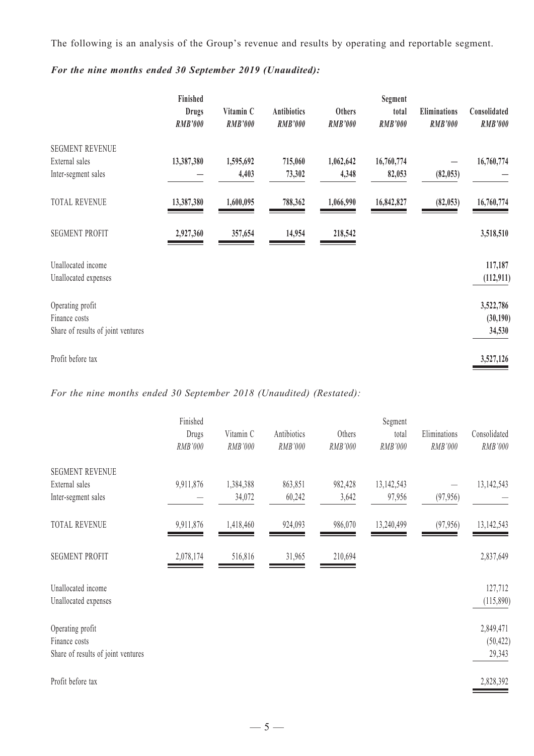The following is an analysis of the Group's revenue and results by operating and reportable segment.

|                                    | Finished<br><b>Drugs</b><br><b>RMB'000</b> | Vitamin C<br><b>RMB'000</b> | <b>Antibiotics</b><br><b>RMB'000</b> | Others<br><b>RMB'000</b> | Segment<br>total<br><b>RMB'000</b> | <b>Eliminations</b><br><b>RMB'000</b> | Consolidated<br><b>RMB'000</b> |
|------------------------------------|--------------------------------------------|-----------------------------|--------------------------------------|--------------------------|------------------------------------|---------------------------------------|--------------------------------|
| <b>SEGMENT REVENUE</b>             |                                            |                             |                                      |                          |                                    |                                       |                                |
| External sales                     | 13,387,380                                 | 1,595,692                   | 715,060                              | 1,062,642                | 16,760,774                         |                                       | 16,760,774                     |
| Inter-segment sales                |                                            | 4,403                       | 73,302                               | 4,348                    | 82,053                             | (82, 053)                             |                                |
| <b>TOTAL REVENUE</b>               | 13,387,380                                 | 1,600,095                   | 788,362                              | 1,066,990                | 16,842,827                         | (82, 053)                             | 16,760,774                     |
| <b>SEGMENT PROFIT</b>              | 2,927,360                                  | 357,654                     | 14,954                               | 218,542                  |                                    |                                       | 3,518,510                      |
| Unallocated income                 |                                            |                             |                                      |                          |                                    |                                       | 117,187                        |
| Unallocated expenses               |                                            |                             |                                      |                          |                                    |                                       | (112, 911)                     |
| Operating profit                   |                                            |                             |                                      |                          |                                    |                                       | 3,522,786                      |
| Finance costs                      |                                            |                             |                                      |                          |                                    |                                       | (30, 190)                      |
| Share of results of joint ventures |                                            |                             |                                      |                          |                                    |                                       | 34,530                         |
| Profit before tax                  |                                            |                             |                                      |                          |                                    |                                       | 3,527,126                      |

# *For the nine months ended 30 September 2019 (Unaudited):*

*For the nine months ended 30 September 2018 (Unaudited) (Restated):*

|                                            | Finished  |           |             |         | Segment    |              |                      |
|--------------------------------------------|-----------|-----------|-------------|---------|------------|--------------|----------------------|
|                                            | Drugs     | Vitamin C | Antibiotics | Others  | total      | Eliminations | Consolidated         |
|                                            | RMB'000   | RMB'000   | RMB'000     | RMB'000 | RMB'000    | RMB'000      | RMB'000              |
| <b>SEGMENT REVENUE</b>                     |           |           |             |         |            |              |                      |
| External sales                             | 9,911,876 | 1,384,388 | 863,851     | 982,428 | 13,142,543 |              | 13, 142, 543         |
| Inter-segment sales                        |           | 34,072    | 60,242      | 3,642   | 97,956     | (97, 956)    |                      |
| <b>TOTAL REVENUE</b>                       | 9,911,876 | 1,418,460 | 924,093     | 986,070 | 13,240,499 | (97, 956)    | 13, 142, 543         |
| <b>SEGMENT PROFIT</b>                      | 2,078,174 | 516,816   | 31,965      | 210,694 |            |              | 2,837,649            |
| Unallocated income<br>Unallocated expenses |           |           |             |         |            |              | 127,712<br>(115,890) |
| Operating profit                           |           |           |             |         |            |              | 2,849,471            |
| Finance costs                              |           |           |             |         |            |              | (50, 422)            |
| Share of results of joint ventures         |           |           |             |         |            |              | 29,343               |
| Profit before tax                          |           |           |             |         |            |              | 2,828,392            |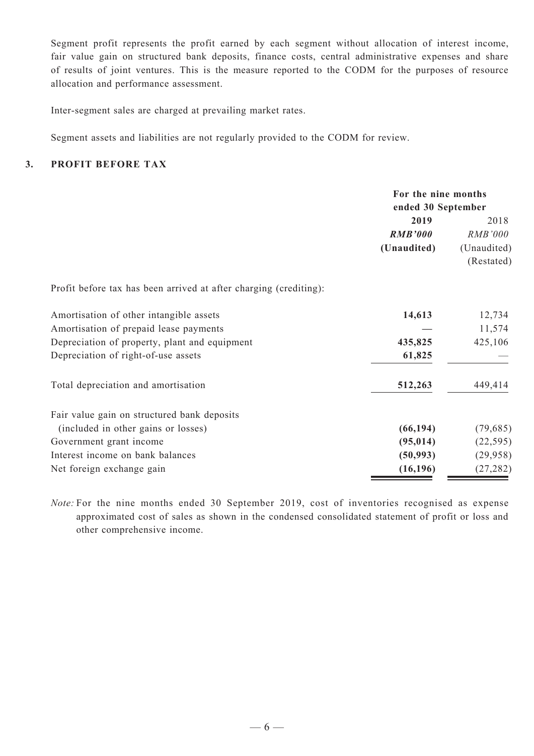Segment profit represents the profit earned by each segment without allocation of interest income, fair value gain on structured bank deposits, finance costs, central administrative expenses and share of results of joint ventures. This is the measure reported to the CODM for the purposes of resource allocation and performance assessment.

Inter-segment sales are charged at prevailing market rates.

Segment assets and liabilities are not regularly provided to the CODM for review.

#### **3. Profit Before Tax**

|                                                                   | For the nine months<br>ended 30 September |                |
|-------------------------------------------------------------------|-------------------------------------------|----------------|
|                                                                   | 2019                                      | 2018           |
|                                                                   | <b>RMB'000</b>                            | <i>RMB'000</i> |
|                                                                   | (Unaudited)                               | (Unaudited)    |
|                                                                   |                                           | (Restated)     |
| Profit before tax has been arrived at after charging (crediting): |                                           |                |
| Amortisation of other intangible assets                           | 14,613                                    | 12,734         |
| Amortisation of prepaid lease payments                            |                                           | 11,574         |
| Depreciation of property, plant and equipment                     | 435,825                                   | 425,106        |
| Depreciation of right-of-use assets                               | 61,825                                    |                |
| Total depreciation and amortisation                               | 512,263                                   | 449,414        |
| Fair value gain on structured bank deposits                       |                                           |                |
| (included in other gains or losses)                               | (66, 194)                                 | (79, 685)      |
| Government grant income                                           | (95, 014)                                 | (22, 595)      |
| Interest income on bank balances                                  | (50, 993)                                 | (29, 958)      |
| Net foreign exchange gain                                         | (16, 196)                                 | (27, 282)      |

*Note:* For the nine months ended 30 September 2019, cost of inventories recognised as expense approximated cost of sales as shown in the condensed consolidated statement of profit or loss and other comprehensive income.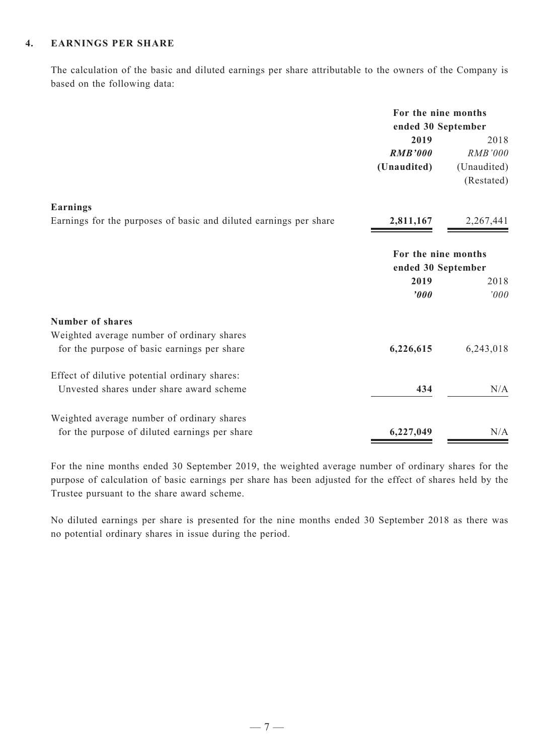#### **4. Earnings Per Share**

The calculation of the basic and diluted earnings per share attributable to the owners of the Company is based on the following data:

|                                                                   | For the nine months<br>ended 30 September |                |
|-------------------------------------------------------------------|-------------------------------------------|----------------|
|                                                                   | 2019                                      | 2018           |
|                                                                   | <b>RMB'000</b>                            | <b>RMB'000</b> |
|                                                                   | (Unaudited)                               | (Unaudited)    |
|                                                                   |                                           | (Restated)     |
| Earnings                                                          |                                           |                |
| Earnings for the purposes of basic and diluted earnings per share | 2,811,167                                 | 2,267,441      |
|                                                                   | For the nine months                       |                |
|                                                                   | ended 30 September                        |                |
|                                                                   | 2019                                      | 2018           |
|                                                                   | '000                                      | '000           |
| <b>Number of shares</b>                                           |                                           |                |
| Weighted average number of ordinary shares                        |                                           |                |
| for the purpose of basic earnings per share                       | 6,226,615                                 | 6,243,018      |
| Effect of dilutive potential ordinary shares:                     |                                           |                |
| Unvested shares under share award scheme                          | 434                                       | N/A            |
| Weighted average number of ordinary shares                        |                                           |                |
| for the purpose of diluted earnings per share                     | 6,227,049                                 | N/A            |

For the nine months ended 30 September 2019, the weighted average number of ordinary shares for the purpose of calculation of basic earnings per share has been adjusted for the effect of shares held by the Trustee pursuant to the share award scheme.

No diluted earnings per share is presented for the nine months ended 30 September 2018 as there was no potential ordinary shares in issue during the period.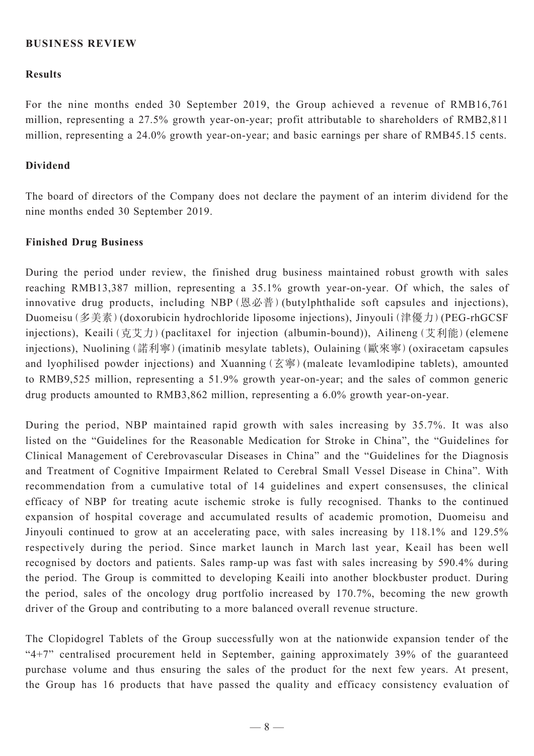#### **BUSINESS REVIEW**

#### **Results**

For the nine months ended 30 September 2019, the Group achieved a revenue of RMB16,761 million, representing a 27.5% growth year-on-year; profit attributable to shareholders of RMB2,811 million, representing a 24.0% growth year-on-year; and basic earnings per share of RMB45.15 cents.

#### **Dividend**

The board of directors of the Company does not declare the payment of an interim dividend for the nine months ended 30 September 2019.

#### **Finished Drug Business**

During the period under review, the finished drug business maintained robust growth with sales reaching RMB13,387 million, representing a 35.1% growth year-on-year. Of which, the sales of innovative drug products, including NBP(恩必普)(butylphthalide soft capsules and injections), Duomeisu(多美素)(doxorubicin hydrochloride liposome injections), Jinyouli(津優力)(PEG-rhGCSF injections), Keaili (克艾力) (paclitaxel for injection (albumin-bound)), Ailineng (艾利能) (elemene injections), Nuolining(諾利寧)(imatinib mesylate tablets), Oulaining(歐來寧)(oxiracetam capsules and lyophilised powder injections) and Xuanning  $(\Sigma \circledast)$  (maleate levamlodipine tablets), amounted to RMB9,525 million, representing a 51.9% growth year-on-year; and the sales of common generic drug products amounted to RMB3,862 million, representing a 6.0% growth year-on-year.

During the period, NBP maintained rapid growth with sales increasing by 35.7%. It was also listed on the "Guidelines for the Reasonable Medication for Stroke in China", the "Guidelines for Clinical Management of Cerebrovascular Diseases in China" and the "Guidelines for the Diagnosis and Treatment of Cognitive Impairment Related to Cerebral Small Vessel Disease in China". With recommendation from a cumulative total of 14 guidelines and expert consensuses, the clinical efficacy of NBP for treating acute ischemic stroke is fully recognised. Thanks to the continued expansion of hospital coverage and accumulated results of academic promotion, Duomeisu and Jinyouli continued to grow at an accelerating pace, with sales increasing by 118.1% and 129.5% respectively during the period. Since market launch in March last year, Keail has been well recognised by doctors and patients. Sales ramp-up was fast with sales increasing by 590.4% during the period. The Group is committed to developing Keaili into another blockbuster product. During the period, sales of the oncology drug portfolio increased by 170.7%, becoming the new growth driver of the Group and contributing to a more balanced overall revenue structure.

The Clopidogrel Tablets of the Group successfully won at the nationwide expansion tender of the " $4+7$ " centralised procurement held in September, gaining approximately 39% of the guaranteed purchase volume and thus ensuring the sales of the product for the next few years. At present, the Group has 16 products that have passed the quality and efficacy consistency evaluation of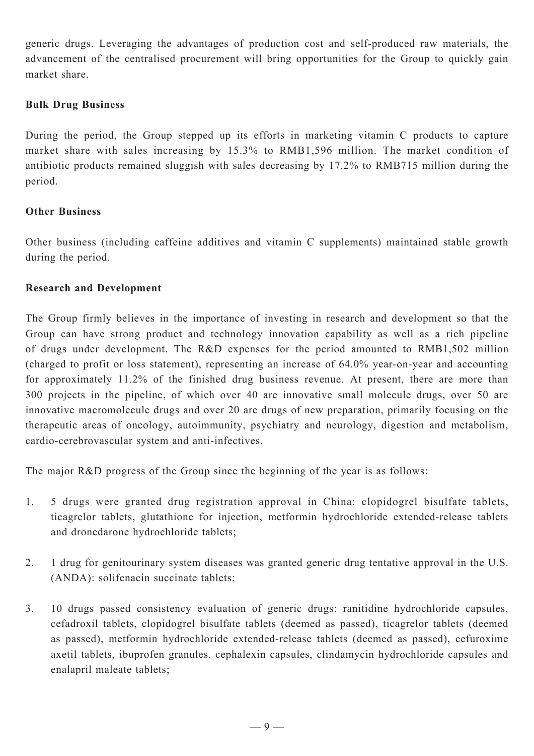generic drugs. Leveraging the advantages of production cost and self-produced raw materials, the advancement of the centralised procurement will bring opportunities for the Group to quickly gain market share.

### **Bulk Drug Business**

During the period, the Group stepped up its efforts in marketing vitamin C products to capture market share with sales increasing by 15.3% to RMB1,596 million. The market condition of antibiotic products remained sluggish with sales decreasing by 17.2% to RMB715 million during the period.

# **Other Business**

Other business (including caffeine additives and vitamin C supplements) maintained stable growth during the period.

### **Research and Development**

The Group firmly believes in the importance of investing in research and development so that the Group can have strong product and technology innovation capability as well as a rich pipeline of drugs under development. The R&D expenses for the period amounted to RMB1,502 million (charged to profit or loss statement), representing an increase of 64.0% year-on-year and accounting for approximately 11.2% of the finished drug business revenue. At present, there are more than 300 projects in the pipeline, of which over 40 are innovative small molecule drugs, over 50 are innovative macromolecule drugs and over 20 are drugs of new preparation, primarily focusing on the therapeutic areas of oncology, autoimmunity, psychiatry and neurology, digestion and metabolism, cardio-cerebrovascular system and anti-infectives.

The major R&D progress of the Group since the beginning of the year is as follows:

- 1. 5 drugs were granted drug registration approval in China: clopidogrel bisulfate tablets, ticagrelor tablets, glutathione for injection, metformin hydrochloride extended-release tablets and dronedarone hydrochloride tablets;
- 2. 1 drug for genitourinary system diseases was granted generic drug tentative approval in the U.S. (ANDA): solifenacin succinate tablets;
- 3. 10 drugs passed consistency evaluation of generic drugs: ranitidine hydrochloride capsules, cefadroxil tablets, clopidogrel bisulfate tablets (deemed as passed), ticagrelor tablets (deemed as passed), metformin hydrochloride extended-release tablets (deemed as passed), cefuroxime axetil tablets, ibuprofen granules, cephalexin capsules, clindamycin hydrochloride capsules and enalapril maleate tablets;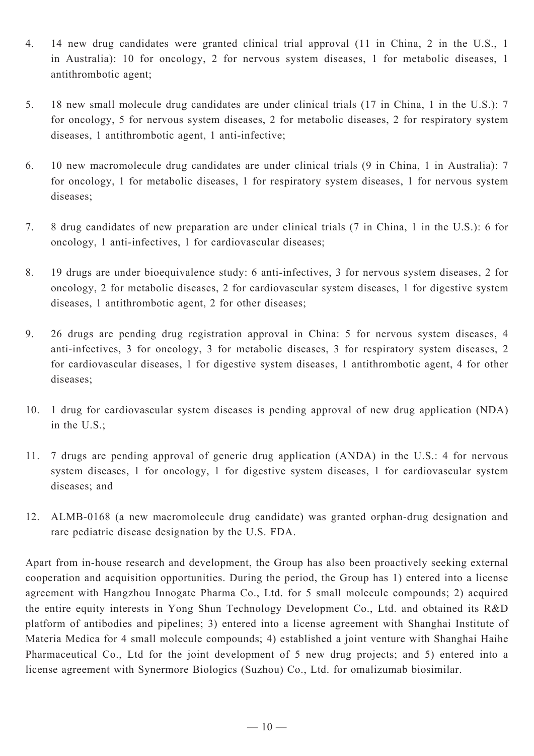- 4. 14 new drug candidates were granted clinical trial approval (11 in China, 2 in the U.S., 1 in Australia): 10 for oncology, 2 for nervous system diseases, 1 for metabolic diseases, 1 antithrombotic agent;
- 5. 18 new small molecule drug candidates are under clinical trials (17 in China, 1 in the U.S.): 7 for oncology, 5 for nervous system diseases, 2 for metabolic diseases, 2 for respiratory system diseases, 1 antithrombotic agent, 1 anti-infective;
- 6. 10 new macromolecule drug candidates are under clinical trials (9 in China, 1 in Australia): 7 for oncology, 1 for metabolic diseases, 1 for respiratory system diseases, 1 for nervous system diseases;
- 7. 8 drug candidates of new preparation are under clinical trials (7 in China, 1 in the U.S.): 6 for oncology, 1 anti-infectives, 1 for cardiovascular diseases;
- 8. 19 drugs are under bioequivalence study: 6 anti-infectives, 3 for nervous system diseases, 2 for oncology, 2 for metabolic diseases, 2 for cardiovascular system diseases, 1 for digestive system diseases, 1 antithrombotic agent, 2 for other diseases;
- 9. 26 drugs are pending drug registration approval in China: 5 for nervous system diseases, 4 anti-infectives, 3 for oncology, 3 for metabolic diseases, 3 for respiratory system diseases, 2 for cardiovascular diseases, 1 for digestive system diseases, 1 antithrombotic agent, 4 for other diseases;
- 10. 1 drug for cardiovascular system diseases is pending approval of new drug application (NDA) in the U.S.;
- 11. 7 drugs are pending approval of generic drug application (ANDA) in the U.S.: 4 for nervous system diseases, 1 for oncology, 1 for digestive system diseases, 1 for cardiovascular system diseases; and
- 12. ALMB-0168 (a new macromolecule drug candidate) was granted orphan-drug designation and rare pediatric disease designation by the U.S. FDA.

Apart from in-house research and development, the Group has also been proactively seeking external cooperation and acquisition opportunities. During the period, the Group has 1) entered into a license agreement with Hangzhou Innogate Pharma Co., Ltd. for 5 small molecule compounds; 2) acquired the entire equity interests in Yong Shun Technology Development Co., Ltd. and obtained its R&D platform of antibodies and pipelines; 3) entered into a license agreement with Shanghai Institute of Materia Medica for 4 small molecule compounds; 4) established a joint venture with Shanghai Haihe Pharmaceutical Co., Ltd for the joint development of 5 new drug projects; and 5) entered into a license agreement with Synermore Biologics (Suzhou) Co., Ltd. for omalizumab biosimilar.